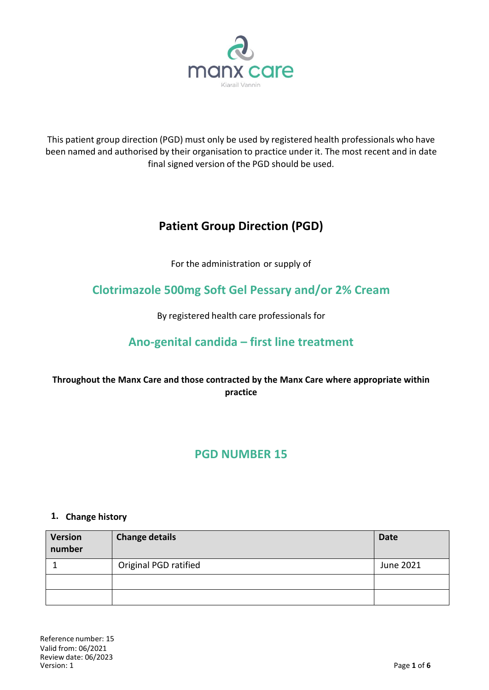

This patient group direction (PGD) must only be used by registered health professionals who have been named and authorised by their organisation to practice under it. The most recent and in date final signed version of the PGD should be used.

# **Patient Group Direction (PGD)**

For the administration or supply of

# **Clotrimazole 500mg Soft Gel Pessary and/or 2% Cream**

By registered health care professionals for

## **Ano-genital candida – first line treatment**

## **Throughout the Manx Care and those contracted by the Manx Care where appropriate within practice**

## **PGD NUMBER 15**

#### **1. Change history**

| <b>Version</b><br>number | <b>Change details</b> | <b>Date</b> |
|--------------------------|-----------------------|-------------|
|                          | Original PGD ratified | June 2021   |
|                          |                       |             |
|                          |                       |             |

Reference number: 15 Valid from: 06/2021 Review date: 06/2023 Version: 1 Page **1** of **6**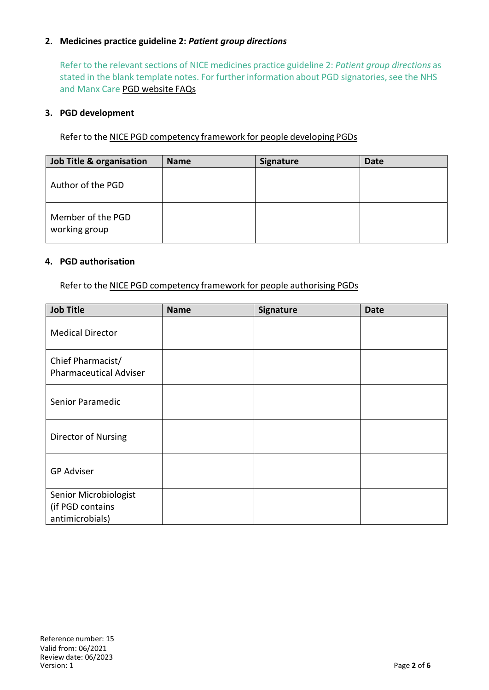### **2. Medicines practice guideline 2:** *Patient group directions*

Refer to the relevant sections of NICE medicines practice guideline 2: *Patient group directions* as stated in the blank template notes. For further information about PGD signatories, see the NHS and Manx Care PGD website FAQs

#### **3. PGD development**

Refer to the NICE PGD competency framework for people developing PGDs

| Job Title & organisation           | <b>Name</b> | <b>Signature</b> | <b>Date</b> |
|------------------------------------|-------------|------------------|-------------|
| Author of the PGD                  |             |                  |             |
| Member of the PGD<br>working group |             |                  |             |

#### **4. PGD authorisation**

Refer to the NICE PGD competency framework for people authorising PGDs

| <b>Job Title</b>                                             | <b>Name</b> | Signature | <b>Date</b> |
|--------------------------------------------------------------|-------------|-----------|-------------|
| <b>Medical Director</b>                                      |             |           |             |
| Chief Pharmacist/<br><b>Pharmaceutical Adviser</b>           |             |           |             |
| Senior Paramedic                                             |             |           |             |
| Director of Nursing                                          |             |           |             |
| <b>GP Adviser</b>                                            |             |           |             |
| Senior Microbiologist<br>(if PGD contains<br>antimicrobials) |             |           |             |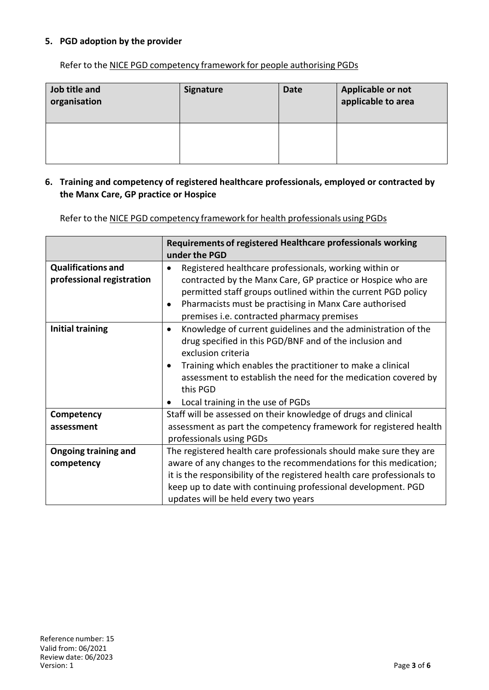### **5. PGD adoption by the provider**

Refer to the NICE PGD competency framework for people authorising PGDs

| Job title and<br>organisation | <b>Signature</b> | <b>Date</b> | Applicable or not<br>applicable to area |
|-------------------------------|------------------|-------------|-----------------------------------------|
|                               |                  |             |                                         |

#### **6. Training and competency of registered healthcare professionals, employed or contracted by the Manx Care, GP practice or Hospice**

Refer to the NICE PGD competency framework for health professionals using PGDs

|                                                        | Requirements of registered Healthcare professionals working<br>under the PGD                                                                                                                                                                                                                                                                 |
|--------------------------------------------------------|----------------------------------------------------------------------------------------------------------------------------------------------------------------------------------------------------------------------------------------------------------------------------------------------------------------------------------------------|
| <b>Qualifications and</b><br>professional registration | Registered healthcare professionals, working within or<br>contracted by the Manx Care, GP practice or Hospice who are<br>permitted staff groups outlined within the current PGD policy<br>Pharmacists must be practising in Manx Care authorised<br>premises i.e. contracted pharmacy premises                                               |
| <b>Initial training</b>                                | Knowledge of current guidelines and the administration of the<br>$\bullet$<br>drug specified in this PGD/BNF and of the inclusion and<br>exclusion criteria<br>Training which enables the practitioner to make a clinical<br>assessment to establish the need for the medication covered by<br>this PGD<br>Local training in the use of PGDs |
| Competency                                             | Staff will be assessed on their knowledge of drugs and clinical                                                                                                                                                                                                                                                                              |
| assessment                                             | assessment as part the competency framework for registered health<br>professionals using PGDs                                                                                                                                                                                                                                                |
| <b>Ongoing training and</b>                            | The registered health care professionals should make sure they are                                                                                                                                                                                                                                                                           |
| competency                                             | aware of any changes to the recommendations for this medication;                                                                                                                                                                                                                                                                             |
|                                                        | it is the responsibility of the registered health care professionals to                                                                                                                                                                                                                                                                      |
|                                                        | keep up to date with continuing professional development. PGD                                                                                                                                                                                                                                                                                |
|                                                        | updates will be held every two years                                                                                                                                                                                                                                                                                                         |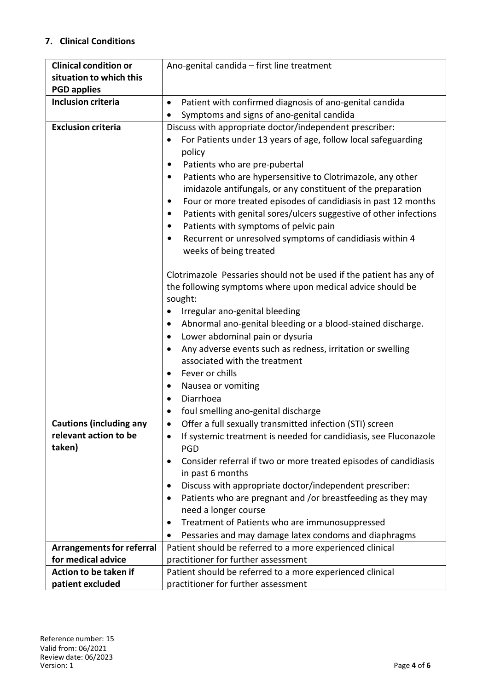## **7. Clinical Conditions**

| <b>Clinical condition or</b>     | Ano-genital candida - first line treatment                                    |  |  |
|----------------------------------|-------------------------------------------------------------------------------|--|--|
| situation to which this          |                                                                               |  |  |
| <b>PGD applies</b>               |                                                                               |  |  |
| <b>Inclusion criteria</b>        | Patient with confirmed diagnosis of ano-genital candida<br>$\bullet$          |  |  |
|                                  | Symptoms and signs of ano-genital candida                                     |  |  |
| <b>Exclusion criteria</b>        | Discuss with appropriate doctor/independent prescriber:                       |  |  |
|                                  | For Patients under 13 years of age, follow local safeguarding                 |  |  |
|                                  | policy                                                                        |  |  |
|                                  | Patients who are pre-pubertal<br>$\bullet$                                    |  |  |
|                                  | Patients who are hypersensitive to Clotrimazole, any other<br>٠               |  |  |
|                                  | imidazole antifungals, or any constituent of the preparation                  |  |  |
|                                  | Four or more treated episodes of candidiasis in past 12 months<br>$\bullet$   |  |  |
|                                  | Patients with genital sores/ulcers suggestive of other infections<br>٠        |  |  |
|                                  | Patients with symptoms of pelvic pain<br>٠                                    |  |  |
|                                  | Recurrent or unresolved symptoms of candidiasis within 4<br>٠                 |  |  |
|                                  | weeks of being treated                                                        |  |  |
|                                  |                                                                               |  |  |
|                                  | Clotrimazole Pessaries should not be used if the patient has any of           |  |  |
|                                  | the following symptoms where upon medical advice should be                    |  |  |
|                                  | sought:                                                                       |  |  |
|                                  | Irregular ano-genital bleeding                                                |  |  |
|                                  | Abnormal ano-genital bleeding or a blood-stained discharge.                   |  |  |
|                                  | Lower abdominal pain or dysuria                                               |  |  |
|                                  | Any adverse events such as redness, irritation or swelling                    |  |  |
|                                  | associated with the treatment                                                 |  |  |
|                                  | Fever or chills<br>٠                                                          |  |  |
|                                  | Nausea or vomiting<br>٠                                                       |  |  |
|                                  | Diarrhoea<br>$\bullet$                                                        |  |  |
|                                  | foul smelling ano-genital discharge                                           |  |  |
| <b>Cautions (including any</b>   | Offer a full sexually transmitted infection (STI) screen                      |  |  |
| relevant action to be            | If systemic treatment is needed for candidiasis, see Fluconazole<br>$\bullet$ |  |  |
| taken)                           | PGD                                                                           |  |  |
|                                  | Consider referral if two or more treated episodes of candidiasis<br>٠         |  |  |
|                                  | in past 6 months                                                              |  |  |
|                                  | Discuss with appropriate doctor/independent prescriber:<br>٠                  |  |  |
|                                  | Patients who are pregnant and /or breastfeeding as they may<br>٠              |  |  |
|                                  | need a longer course                                                          |  |  |
|                                  | Treatment of Patients who are immunosuppressed<br>$\bullet$                   |  |  |
|                                  | Pessaries and may damage latex condoms and diaphragms                         |  |  |
| <b>Arrangements for referral</b> | Patient should be referred to a more experienced clinical                     |  |  |
| for medical advice               | practitioner for further assessment                                           |  |  |
| Action to be taken if            | Patient should be referred to a more experienced clinical                     |  |  |
| patient excluded                 | practitioner for further assessment                                           |  |  |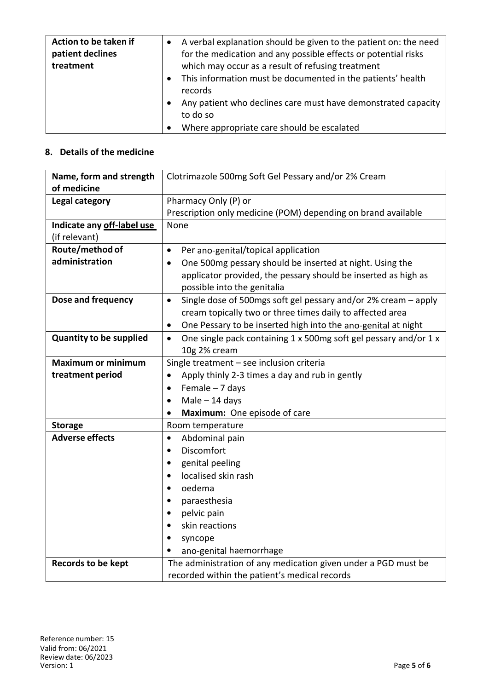| Action to be taken if<br>patient declines<br>treatment | A verbal explanation should be given to the patient on: the need<br>for the medication and any possible effects or potential risks<br>which may occur as a result of refusing treatment |
|--------------------------------------------------------|-----------------------------------------------------------------------------------------------------------------------------------------------------------------------------------------|
|                                                        | This information must be documented in the patients' health<br>records                                                                                                                  |
|                                                        | Any patient who declines care must have demonstrated capacity<br>to do so                                                                                                               |
|                                                        | Where appropriate care should be escalated                                                                                                                                              |

## **8. Details of the medicine**

| Name, form and strength        | Clotrimazole 500mg Soft Gel Pessary and/or 2% Cream                           |  |  |
|--------------------------------|-------------------------------------------------------------------------------|--|--|
| of medicine                    |                                                                               |  |  |
| <b>Legal category</b>          | Pharmacy Only (P) or                                                          |  |  |
|                                | Prescription only medicine (POM) depending on brand available                 |  |  |
| Indicate any off-label use     | None                                                                          |  |  |
| (if relevant)                  |                                                                               |  |  |
| Route/method of                | Per ano-genital/topical application<br>$\bullet$                              |  |  |
| administration                 | One 500mg pessary should be inserted at night. Using the<br>$\bullet$         |  |  |
|                                | applicator provided, the pessary should be inserted as high as                |  |  |
|                                | possible into the genitalia                                                   |  |  |
| Dose and frequency             | Single dose of 500mgs soft gel pessary and/or 2% cream - apply<br>$\bullet$   |  |  |
|                                | cream topically two or three times daily to affected area                     |  |  |
|                                | One Pessary to be inserted high into the ano-genital at night<br>$\bullet$    |  |  |
| <b>Quantity to be supplied</b> | One single pack containing 1 x 500mg soft gel pessary and/or 1 x<br>$\bullet$ |  |  |
|                                | 10g 2% cream                                                                  |  |  |
| <b>Maximum or minimum</b>      | Single treatment - see inclusion criteria                                     |  |  |
| treatment period               | Apply thinly 2-3 times a day and rub in gently                                |  |  |
|                                | Female $-7$ days<br>$\bullet$                                                 |  |  |
|                                | $Male - 14 days$<br>$\bullet$                                                 |  |  |
|                                | Maximum: One episode of care                                                  |  |  |
| <b>Storage</b>                 | Room temperature                                                              |  |  |
| <b>Adverse effects</b>         | Abdominal pain<br>$\bullet$                                                   |  |  |
|                                | Discomfort<br>$\bullet$                                                       |  |  |
|                                | genital peeling<br>٠                                                          |  |  |
|                                | localised skin rash<br>$\bullet$                                              |  |  |
|                                | oedema<br>$\bullet$                                                           |  |  |
|                                | paraesthesia<br>$\bullet$                                                     |  |  |
|                                | pelvic pain<br>$\bullet$                                                      |  |  |
|                                | skin reactions<br>٠                                                           |  |  |
|                                | syncope                                                                       |  |  |
|                                | ano-genital haemorrhage                                                       |  |  |
| <b>Records to be kept</b>      | The administration of any medication given under a PGD must be                |  |  |
|                                | recorded within the patient's medical records                                 |  |  |